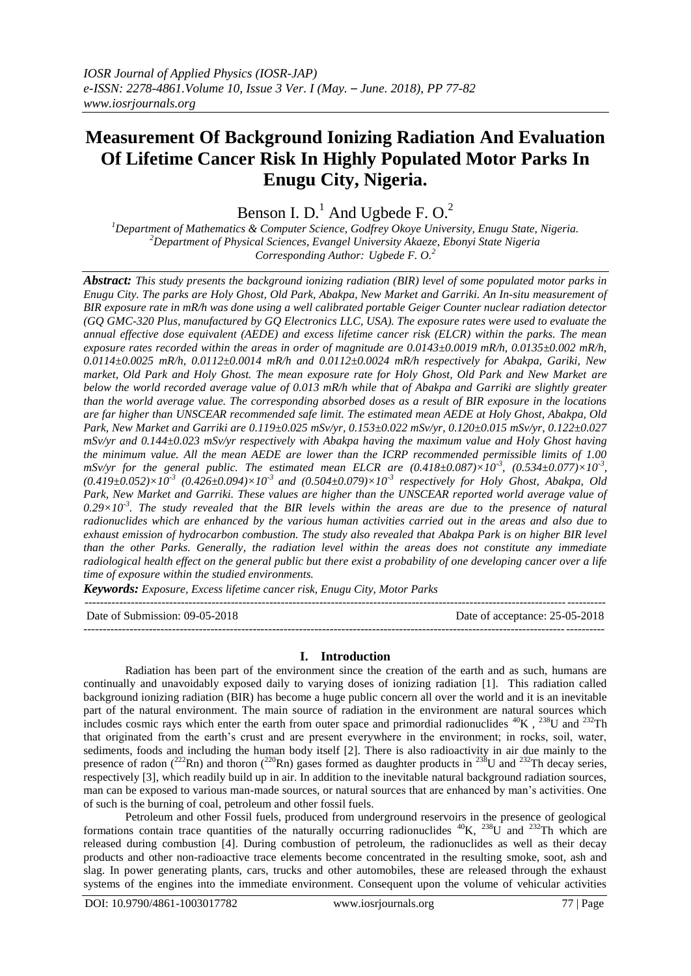# **Measurement Of Background Ionizing Radiation And Evaluation Of Lifetime Cancer Risk In Highly Populated Motor Parks In Enugu City, Nigeria.**

Benson I.  $D<sup>1</sup>$  And Ugbede F. O.<sup>2</sup>

*<sup>1</sup>Department of Mathematics & Computer Science, Godfrey Okoye University, Enugu State, Nigeria. <sup>2</sup>Department of Physical Sciences, Evangel University Akaeze, Ebonyi State Nigeria Corresponding Author: Ugbede F. O. 2*

*Abstract: This study presents the background ionizing radiation (BIR) level of some populated motor parks in Enugu City. The parks are Holy Ghost, Old Park, Abakpa, New Market and Garriki. An In-situ measurement of BIR exposure rate in mR/h was done using a well calibrated portable Geiger Counter nuclear radiation detector (GQ GMC-320 Plus, manufactured by GQ Electronics LLC, USA). The exposure rates were used to evaluate the annual effective dose equivalent (AEDE) and excess lifetime cancer risk (ELCR) within the parks. The mean exposure rates recorded within the areas in order of magnitude are 0.0143±0.0019 mR/h, 0.0135±0.002 mR/h, 0.0114±0.0025 mR/h, 0.0112±0.0014 mR/h and 0.0112±0.0024 mR/h respectively for Abakpa, Gariki, New market, Old Park and Holy Ghost. The mean exposure rate for Holy Ghost, Old Park and New Market are below the world recorded average value of 0.013 mR/h while that of Abakpa and Garriki are slightly greater than the world average value. The corresponding absorbed doses as a result of BIR exposure in the locations are far higher than UNSCEAR recommended safe limit. The estimated mean AEDE at Holy Ghost, Abakpa, Old Park, New Market and Garriki are 0.119±0.025 mSv/yr, 0.153±0.022 mSv/yr, 0.120±0.015 mSv/yr, 0.122±0.027 mSv/yr and 0.144±0.023 mSv/yr respectively with Abakpa having the maximum value and Holy Ghost having the minimum value. All the mean AEDE are lower than the ICRP recommended permissible limits of 1.00*   $mSv/yr$  for the general public. The estimated mean ELCR are  $(0.418\pm0.087)\times10^{3}$ ,  $(0.534\pm0.077)\times10^{3}$ ,  $(0.419 \pm 0.052) \times 10^{-3}$   $(0.426 \pm 0.094) \times 10^{-3}$  and  $(0.504 \pm 0.079) \times 10^{-3}$  respectively for Holy Ghost, Abakpa, Old *Park, New Market and Garriki. These values are higher than the UNSCEAR reported world average value of*   $0.29 \times 10^{-3}$ . The study revealed that the BIR levels within the areas are due to the presence of natural *radionuclides which are enhanced by the various human activities carried out in the areas and also due to exhaust emission of hydrocarbon combustion. The study also revealed that Abakpa Park is on higher BIR level than the other Parks. Generally, the radiation level within the areas does not constitute any immediate radiological health effect on the general public but there exist a probability of one developing cancer over a life time of exposure within the studied environments.*

*Keywords: Exposure, Excess lifetime cancer risk, Enugu City, Motor Parks*

| Date of Submission: 09-05-2018 | Date of acceptance: 25-05-2018 |
|--------------------------------|--------------------------------|
|                                |                                |

# **I. Introduction**

Radiation has been part of the environment since the creation of the earth and as such, humans are continually and unavoidably exposed daily to varying doses of ionizing radiation [1]. This radiation called background ionizing radiation (BIR) has become a huge public concern all over the world and it is an inevitable part of the natural environment. The main source of radiation in the environment are natural sources which includes cosmic rays which enter the earth from outer space and primordial radionuclides  ${}^{40}$ K,  ${}^{238}$ U and  ${}^{232}$ Th that originated from the earth's crust and are present everywhere in the environment; in rocks, soil, water, sediments, foods and including the human body itself [2]. There is also radioactivity in air due mainly to the presence of radon (<sup>222</sup>Rn) and thoron (<sup>220</sup>Rn) gases formed as daughter products in <sup>238</sup>U and <sup>232</sup>Th decay series, respectively [3], which readily build up in air. In addition to the inevitable natural background radiation sources, man can be exposed to various man-made sources, or natural sources that are enhanced by man's activities. One of such is the burning of coal, petroleum and other fossil fuels.

Petroleum and other Fossil fuels, produced from underground reservoirs in the presence of geological formations contain trace quantities of the naturally occurring radionuclides  ${}^{40}$ K,  ${}^{238}$ U and  ${}^{232}$ Th which are released during combustion [4]. During combustion of petroleum, the radionuclides as well as their decay products and other non-radioactive trace elements become concentrated in the resulting smoke, soot, ash and slag. In power generating plants, cars, trucks and other automobiles, these are released through the exhaust systems of the engines into the immediate environment. Consequent upon the volume of vehicular activities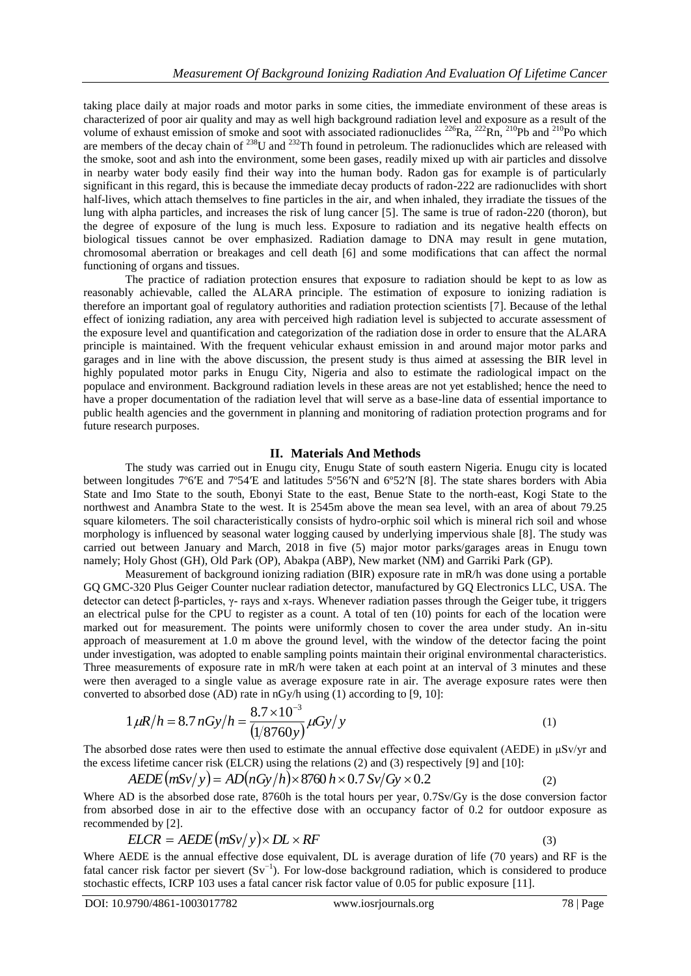taking place daily at major roads and motor parks in some cities, the immediate environment of these areas is characterized of poor air quality and may as well high background radiation level and exposure as a result of the volume of exhaust emission of smoke and soot with associated radionuclides <sup>226</sup>Ra, <sup>222</sup>Rn, <sup>210</sup>Pb and <sup>210</sup>Po which are members of the decay chain of <sup>238</sup>U and <sup>232</sup>Th found in petroleum. The radionuclides which are released with the smoke, soot and ash into the environment, some been gases, readily mixed up with air particles and dissolve in nearby water body easily find their way into the human body. Radon gas for example is of particularly significant in this regard, this is because the immediate decay products of radon-222 are radionuclides with short half-lives, which attach themselves to fine particles in the air, and when inhaled, they irradiate the tissues of the lung with alpha particles, and increases the risk of lung cancer [5]. The same is true of radon-220 (thoron), but the degree of exposure of the lung is much less. Exposure to radiation and its negative health effects on biological tissues cannot be over emphasized. Radiation damage to DNA may result in gene mutation, chromosomal aberration or breakages and cell death [6] and some modifications that can affect the normal functioning of organs and tissues.

The practice of radiation protection ensures that exposure to radiation should be kept to as low as reasonably achievable, called the ALARA principle. The estimation of exposure to ionizing radiation is therefore an important goal of regulatory authorities and radiation protection scientists [7]. Because of the lethal effect of ionizing radiation, any area with perceived high radiation level is subjected to accurate assessment of the exposure level and quantification and categorization of the radiation dose in order to ensure that the ALARA principle is maintained. With the frequent vehicular exhaust emission in and around major motor parks and garages and in line with the above discussion, the present study is thus aimed at assessing the BIR level in highly populated motor parks in Enugu City, Nigeria and also to estimate the radiological impact on the populace and environment. Background radiation levels in these areas are not yet established; hence the need to have a proper documentation of the radiation level that will serve as a base-line data of essential importance to public health agencies and the government in planning and monitoring of radiation protection programs and for future research purposes.

#### **II. Materials And Methods**

The study was carried out in Enugu city, Enugu State of south eastern Nigeria. Enugu city is located between longitudes 7°6′E and 7°54′E and latitudes 5°56′N and 6°52′N [8]. The state shares borders with Abia State and Imo State to the south, Ebonyi State to the east, Benue State to the north-east, Kogi State to the northwest and Anambra State to the west. It is 2545m above the mean sea level, with an area of about 79.25 square kilometers. The soil characteristically consists of hydro-orphic soil which is mineral rich soil and whose morphology is influenced by seasonal water logging caused by underlying impervious shale [8]. The study was carried out between January and March, 2018 in five (5) major motor parks/garages areas in Enugu town namely; Holy Ghost (GH), Old Park (OP), Abakpa (ABP), New market (NM) and Garriki Park (GP).

Measurement of background ionizing radiation (BIR) exposure rate in mR/h was done using a portable GQ GMC-320 Plus Geiger Counter nuclear radiation detector, manufactured by GQ Electronics LLC, USA. The detector can detect β-particles, γ- rays and x-rays. Whenever radiation passes through the Geiger tube, it triggers an electrical pulse for the CPU to register as a count. A total of ten (10) points for each of the location were marked out for measurement. The points were uniformly chosen to cover the area under study. An in-situ approach of measurement at 1.0 m above the ground level, with the window of the detector facing the point under investigation, was adopted to enable sampling points maintain their original environmental characteristics. Three measurements of exposure rate in mR/h were taken at each point at an interval of 3 minutes and these were then averaged to a single value as average exposure rate in air. The average exposure rates were then converted to absorbed dose (AD) rate in nGy/h using (1) according to [9, 10]:

$$
1 \,\mu\left(R/h = 8.7 \, nGy/h = \frac{8.7 \times 10^{-3}}{\left(\frac{1}{8760y}\right)} \,\mu\left(\frac{dy}{y}\right) \tag{1}
$$

The absorbed dose rates were then used to estimate the annual effective dose equivalent (AEDE) in μSv/yr and the excess lifetime cancer risk (ELCR) using the relations (2) and (3) respectively [9] and [10]:

$$
AEDE\left(mSv/y\right) = AD\left(nGy/h\right) \times 8760 \, h \times 0.7 \, Sv/Gy \times 0.2\tag{2}
$$

Where AD is the absorbed dose rate, 8760h is the total hours per year, 0.7Sv/Gy is the dose conversion factor from absorbed dose in air to the effective dose with an occupancy factor of 0.2 for outdoor exposure as recommended by [2].

$$
ELCR = AEDE \left( mSv / y \right) \times DL \times RF \tag{3}
$$

Where AEDE is the annual effective dose equivalent, DL is average duration of life (70 years) and RF is the fatal cancer risk factor per sievert  $(Sv^{-1})$ . For low-dose background radiation, which is considered to produce stochastic effects, ICRP 103 uses a fatal cancer risk factor value of 0.05 for public exposure [11].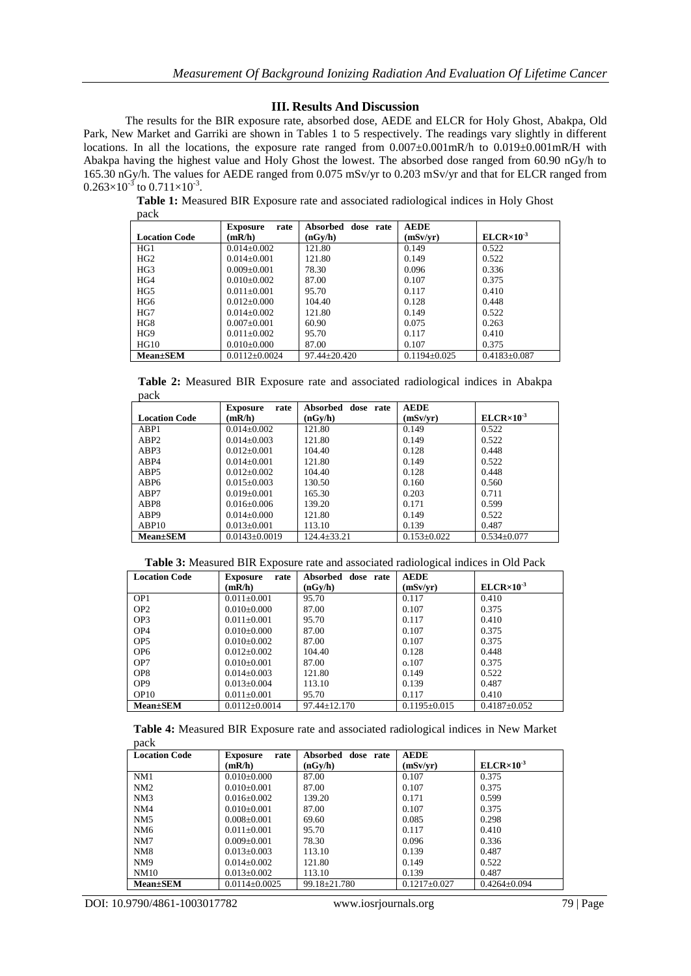## **III. Results And Discussion**

The results for the BIR exposure rate, absorbed dose, AEDE and ELCR for Holy Ghost, Abakpa, Old Park, New Market and Garriki are shown in Tables 1 to 5 respectively. The readings vary slightly in different locations. In all the locations, the exposure rate ranged from  $0.007\pm0.001$  mR/h to  $0.019\pm0.001$  mR/H with Abakpa having the highest value and Holy Ghost the lowest. The absorbed dose ranged from 60.90 nGy/h to 165.30 nGy/h. The values for AEDE ranged from 0.075 mSv/yr to 0.203 mSv/yr and that for ELCR ranged from  $0.263\times10^{-3}$  to  $0.711\times10^{-3}$ .

**Table 1:** Measured BIR Exposure rate and associated radiological indices in Holy Ghost pack

|                      | <b>Exposure</b><br>rate | Absorbed dose rate | <b>AEDE</b>        |                       |
|----------------------|-------------------------|--------------------|--------------------|-----------------------|
| <b>Location Code</b> | (mR/h)                  | (nGv/h)            | (mSv/yr)           | $ELCR \times 10^{-3}$ |
| HG1                  | $0.014 \pm 0.002$       | 121.80             | 0.149              | 0.522                 |
| HG <sub>2</sub>      | $0.014 \pm 0.001$       | 121.80             | 0.149              | 0.522                 |
| HG3                  | $0.009 + 0.001$         | 78.30              | 0.096              | 0.336                 |
| HG4                  | $0.010\pm0.002$         | 87.00              | 0.107              | 0.375                 |
| HG5                  | $0.011 + 0.001$         | 95.70              | 0.117              | 0.410                 |
| HG6                  | $0.012 + 0.000$         | 104.40             | 0.128              | 0.448                 |
| HG7                  | $0.014 + 0.002$         | 121.80             | 0.149              | 0.522                 |
| HG8                  | $0.007 \pm 0.001$       | 60.90              | 0.075              | 0.263                 |
| HG9                  | $0.011 \pm 0.002$       | 95.70              | 0.117              | 0.410                 |
| HG10                 | $0.010\pm0.000$         | 87.00              | 0.107              | 0.375                 |
| <b>Mean</b> ±SEM     | $0.0112 \pm 0.0024$     | $97.44 \pm 20.420$ | $0.1194 \pm 0.025$ | $0.4183 \pm 0.087$    |

**Table 2:** Measured BIR Exposure rate and associated radiological indices in Abakpa pack

|                      | rate<br><b>Exposure</b> | Absorbed<br>dose rate | <b>AEDE</b>       |                       |
|----------------------|-------------------------|-----------------------|-------------------|-----------------------|
| <b>Location Code</b> | (mR/h)                  | (nGv/h)               | (mSv/vr)          | $ELCR \times 10^{-3}$ |
| ABP1                 | $0.014 \pm 0.002$       | 121.80                | 0.149             | 0.522                 |
| ABP2                 | $0.014 + 0.003$         | 121.80                | 0.149             | 0.522                 |
| ABP3                 | $0.012 \pm 0.001$       | 104.40                | 0.128             | 0.448                 |
| ABP4                 | $0.014 + 0.001$         | 121.80                | 0.149             | 0.522                 |
| ABP <sub>5</sub>     | $0.012 + 0.002$         | 104.40                | 0.128             | 0.448                 |
| ABP <sub>6</sub>     | $0.015 + 0.003$         | 130.50                | 0.160             | 0.560                 |
| ABP7                 | $0.019 \pm 0.001$       | 165.30                | 0.203             | 0.711                 |
| ABP8                 | $0.016 + 0.006$         | 139.20                | 0.171             | 0.599                 |
| ABP9                 | $0.014 + 0.000$         | 121.80                | 0.149             | 0.522                 |
| ABP <sub>10</sub>    | $0.013 \pm 0.001$       | 113.10                | 0.139             | 0.487                 |
| <b>Mean</b> ±SEM     | $0.0143 \pm 0.0019$     | 124.4+33.21           | $0.153 \pm 0.022$ | $0.534 \pm 0.077$     |

| <b>Location Code</b> | rate<br><b>Exposure</b> | Absorbed<br>dose rate | <b>AEDE</b>        |                       |
|----------------------|-------------------------|-----------------------|--------------------|-----------------------|
|                      | (mR/h)                  | (nGv/h)               | (mSv/vr)           | $ELCR \times 10^{-3}$ |
| OP <sub>1</sub>      | $0.011 \pm 0.001$       | 95.70                 | 0.117              | 0.410                 |
| OP <sub>2</sub>      | $0.010\pm0.000$         | 87.00                 | 0.107              | 0.375                 |
| OP <sub>3</sub>      | $0.011 \pm 0.001$       | 95.70                 | 0.117              | 0.410                 |
| OP <sub>4</sub>      | $0.010\pm0.000$         | 87.00                 | 0.107              | 0.375                 |
| OP <sub>5</sub>      | $0.010\pm0.002$         | 87.00                 | 0.107              | 0.375                 |
| OP <sub>6</sub>      | $0.012 \pm 0.002$       | 104.40                | 0.128              | 0.448                 |
| OP7                  | $0.010\pm0.001$         | 87.00                 | 0.107              | 0.375                 |
| OP <sub>8</sub>      | $0.014 \pm 0.003$       | 121.80                | 0.149              | 0.522                 |
| OP <sub>9</sub>      | $0.013 \pm 0.004$       | 113.10                | 0.139              | 0.487                 |
| OP <sub>10</sub>     | $0.011 \pm 0.001$       | 95.70                 | 0.117              | 0.410                 |
| <b>Mean±SEM</b>      | $0.0112 \pm 0.0014$     | $97.44 \pm 12.170$    | $0.1195 \pm 0.015$ | $0.4187 \pm 0.052$    |

|      |  |  |  | Table 4: Measured BIR Exposure rate and associated radiological indices in New Market |  |  |
|------|--|--|--|---------------------------------------------------------------------------------------|--|--|
| pack |  |  |  |                                                                                       |  |  |

| <b>Location Code</b> | <b>Exposure</b><br>rate | Absorbed<br>dose rate | <b>AEDE</b>        |                       |
|----------------------|-------------------------|-----------------------|--------------------|-----------------------|
|                      | (mR/h)                  | (nGv/h)               | (mSv/vr)           | $ELCR \times 10^{-3}$ |
| NM1                  | $0.010\pm0.000$         | 87.00                 | 0.107              | 0.375                 |
| NM2                  | $0.010+0.001$           | 87.00                 | 0.107              | 0.375                 |
| NM3                  | $0.016 + 0.002$         | 139.20                | 0.171              | 0.599                 |
| NM4                  | $0.010+0.001$           | 87.00                 | 0.107              | 0.375                 |
| NM <sub>5</sub>      | $0.008 + 0.001$         | 69.60                 | 0.085              | 0.298                 |
| NM <sub>6</sub>      | $0.011 \pm 0.001$       | 95.70                 | 0.117              | 0.410                 |
| NM7                  | $0.009 + 0.001$         | 78.30                 | 0.096              | 0.336                 |
| NM <sub>8</sub>      | $0.013 + 0.003$         | 113.10                | 0.139              | 0.487                 |
| NM <sub>9</sub>      | $0.014 \pm 0.002$       | 121.80                | 0.149              | 0.522                 |
| NM10                 | $0.013 \pm 0.002$       | 113.10                | 0.139              | 0.487                 |
| <b>Mean</b> ±SEM     | $0.0114\pm0.0025$       | 99.18 + 21.780        | $0.1217 \pm 0.027$ | $0.4264 \pm 0.094$    |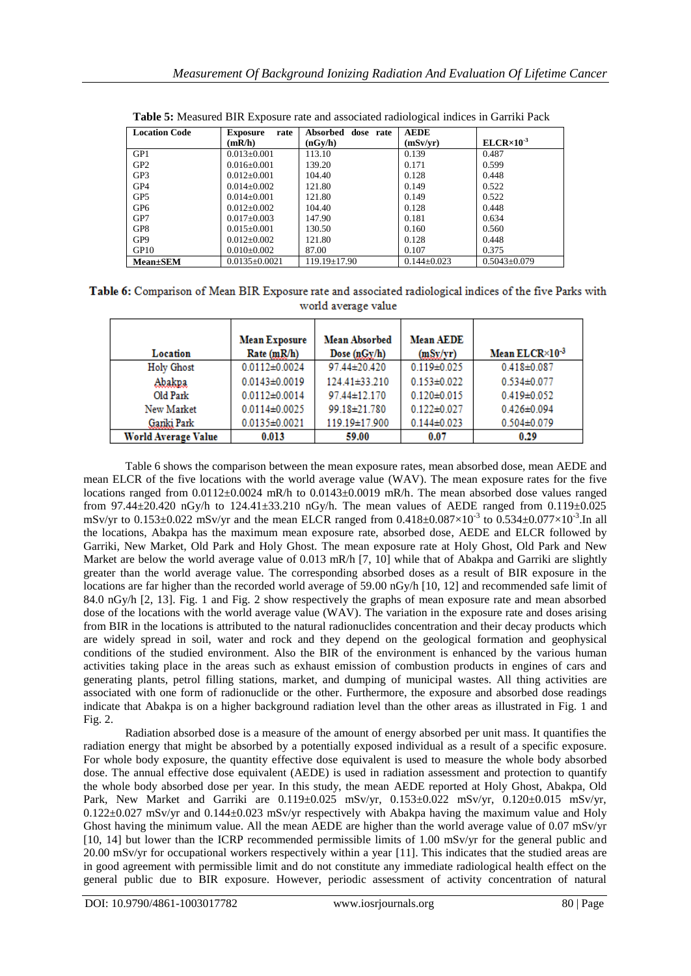| <b>Location Code</b> | rate<br><b>Exposure</b> | Absorbed<br>dose rate | <b>AEDE</b>       |                       |
|----------------------|-------------------------|-----------------------|-------------------|-----------------------|
|                      | (mR/h)                  | (nGy/h)               | (mSv/vr)          | $ELCR \times 10^{-3}$ |
| GP1                  | $0.013 \pm 0.001$       | 113.10                | 0.139             | 0.487                 |
| GP <sub>2</sub>      | $0.016 + 0.001$         | 139.20                | 0.171             | 0.599                 |
| GP3                  | $0.012 + 0.001$         | 104.40                | 0.128             | 0.448                 |
| GP4                  | $0.014 + 0.002$         | 121.80                | 0.149             | 0.522                 |
| GP <sub>5</sub>      | $0.014 + 0.001$         | 121.80                | 0.149             | 0.522                 |
| GP <sub>6</sub>      | $0.012 + 0.002$         | 104.40                | 0.128             | 0.448                 |
| GP7                  | $0.017 + 0.003$         | 147.90                | 0.181             | 0.634                 |
| GP8                  | $0.015 + 0.001$         | 130.50                | 0.160             | 0.560                 |
| GP <sub>9</sub>      | $0.012 + 0.002$         | 121.80                | 0.128             | 0.448                 |
| GP <sub>10</sub>     | $0.010\pm0.002$         | 87.00                 | 0.107             | 0.375                 |
| <b>Mean</b> ±SEM     | $0.0135 \pm 0.0021$     | $119.19 \pm 17.90$    | $0.144 \pm 0.023$ | $0.5043 \pm 0.079$    |

**Table 5:** Measured BIR Exposure rate and associated radiological indices in Garriki Pack

Table 6: Comparison of Mean BIR Exposure rate and associated radiological indices of the five Parks with world average value

|                     | <b>Mean Exposure</b> | <b>Mean Absorbed</b> | <b>Mean AEDE</b>  | Mean ELCR×10-3    |
|---------------------|----------------------|----------------------|-------------------|-------------------|
| Location            | Rate(mR/h)           | Dose $(nGy/h)$       | (mSy/yr)          |                   |
| Holy Ghost          | $0.0112 \pm 0.0024$  | 97.44±20.420         | $0.119 \pm 0.025$ | $0.418 \pm 0.087$ |
| Abakpa              | $0.0143 \pm 0.0019$  | $124.41 \pm 33.210$  | $0.153 \pm 0.022$ | $0.534 \pm 0.077$ |
| Old Park            | $0.0112 \pm 0.0014$  | 97.44±12.170         | $0.120 \pm 0.015$ | $0.419 \pm 0.052$ |
| New Market          | $0.0114 \pm 0.0025$  | 99.18±21.780         | $0.122 \pm 0.027$ | $0.426 \pm 0.094$ |
| Gariki Park         | $0.0135 \pm 0.0021$  | 119.19±17.900        | $0.144 \pm 0.023$ | $0.504 \pm 0.079$ |
| World Average Value | 0.013                | 59.00                | 0.07              | 0.29              |

Table 6 shows the comparison between the mean exposure rates, mean absorbed dose, mean AEDE and mean ELCR of the five locations with the world average value (WAV). The mean exposure rates for the five locations ranged from 0.0112±0.0024 mR/h to 0.0143±0.0019 mR/h. The mean absorbed dose values ranged from 97.44 $\pm$ 20.420 nGy/h to 124.41 $\pm$ 33.210 nGy/h. The mean values of AEDE ranged from 0.119 $\pm$ 0.025 mSv/yr to  $0.153 \pm 0.022$  mSv/yr and the mean ELCR ranged from  $0.418 \pm 0.087 \times 10^{-3}$  to  $0.534 \pm 0.077 \times 10^{-3}$ . In all the locations, Abakpa has the maximum mean exposure rate, absorbed dose, AEDE and ELCR followed by Garriki, New Market, Old Park and Holy Ghost. The mean exposure rate at Holy Ghost, Old Park and New Market are below the world average value of 0.013 mR/h [7, 10] while that of Abakpa and Garriki are slightly greater than the world average value. The corresponding absorbed doses as a result of BIR exposure in the locations are far higher than the recorded world average of 59.00 nGy/h [10, 12] and recommended safe limit of 84.0 nGy/h [2, 13]. Fig. 1 and Fig. 2 show respectively the graphs of mean exposure rate and mean absorbed dose of the locations with the world average value (WAV). The variation in the exposure rate and doses arising from BIR in the locations is attributed to the natural radionuclides concentration and their decay products which are widely spread in soil, water and rock and they depend on the geological formation and geophysical conditions of the studied environment. Also the BIR of the environment is enhanced by the various human activities taking place in the areas such as exhaust emission of combustion products in engines of cars and generating plants, petrol filling stations, market, and dumping of municipal wastes. All thing activities are associated with one form of radionuclide or the other. Furthermore, the exposure and absorbed dose readings indicate that Abakpa is on a higher background radiation level than the other areas as illustrated in Fig. 1 and Fig. 2.

Radiation absorbed dose is a measure of the amount of energy absorbed per unit mass. It quantifies the radiation energy that might be absorbed by a potentially exposed individual as a result of a specific exposure. For whole body exposure, the quantity effective dose equivalent is used to measure the whole body absorbed dose. The annual effective dose equivalent (AEDE) is used in radiation assessment and protection to quantify the whole body absorbed dose per year. In this study, the mean AEDE reported at Holy Ghost, Abakpa, Old Park, New Market and Garriki are  $0.119 \pm 0.025$  mSv/yr,  $0.153 \pm 0.022$  mSv/yr,  $0.120 \pm 0.015$  mSv/yr, 0.122±0.027 mSv/yr and 0.144±0.023 mSv/yr respectively with Abakpa having the maximum value and Holy Ghost having the minimum value. All the mean AEDE are higher than the world average value of 0.07 mSv/yr [10, 14] but lower than the ICRP recommended permissible limits of 1.00 mSv/yr for the general public and 20.00 mSv/yr for occupational workers respectively within a year [11]. This indicates that the studied areas are in good agreement with permissible limit and do not constitute any immediate radiological health effect on the general public due to BIR exposure. However, periodic assessment of activity concentration of natural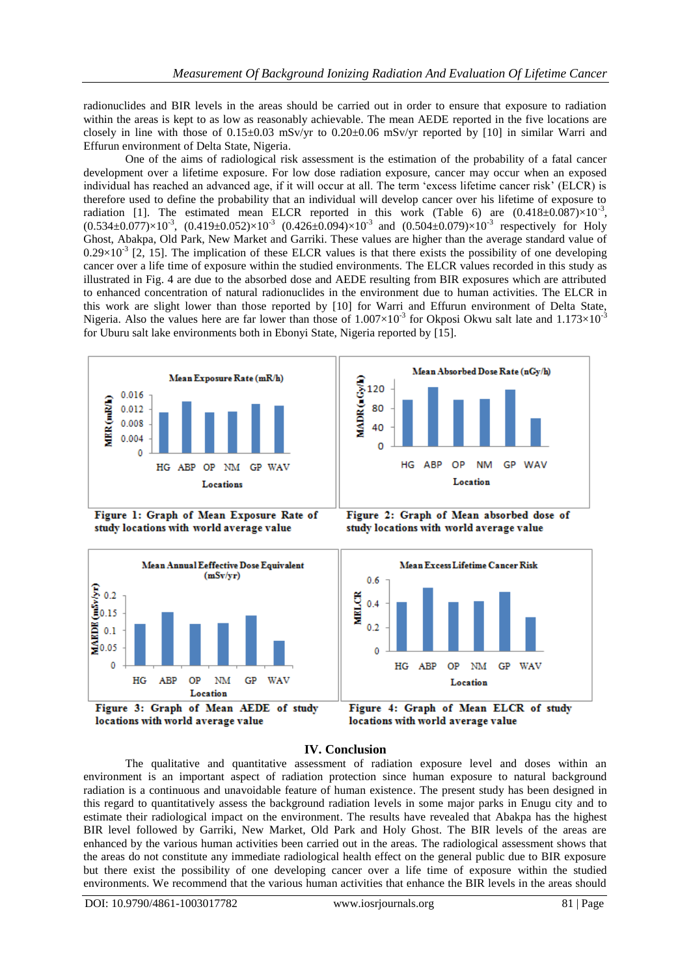radionuclides and BIR levels in the areas should be carried out in order to ensure that exposure to radiation within the areas is kept to as low as reasonably achievable. The mean AEDE reported in the five locations are closely in line with those of  $0.15\pm0.03$  mSv/yr to  $0.20\pm0.06$  mSv/yr reported by [10] in similar Warri and Effurun environment of Delta State, Nigeria.

One of the aims of radiological risk assessment is the estimation of the probability of a fatal cancer development over a lifetime exposure. For low dose radiation exposure, cancer may occur when an exposed individual has reached an advanced age, if it will occur at all. The term 'excess lifetime cancer risk' (ELCR) is therefore used to define the probability that an individual will develop cancer over his lifetime of exposure to radiation [1]. The estimated mean ELCR reported in this work (Table 6) are  $(0.418 \pm 0.087) \times 10^{-3}$ ,  $(0.534 \pm 0.077) \times 10^{-3}$ ,  $(0.419 \pm 0.052) \times 10^{-3}$   $(0.426 \pm 0.094) \times 10^{-3}$  and  $(0.504 \pm 0.079) \times 10^{-3}$  respectively for Holy Ghost, Abakpa, Old Park, New Market and Garriki. These values are higher than the average standard value of  $0.29 \times 10^{-3}$  [2, 15]. The implication of these ELCR values is that there exists the possibility of one developing cancer over a life time of exposure within the studied environments. The ELCR values recorded in this study as illustrated in Fig. 4 are due to the absorbed dose and AEDE resulting from BIR exposures which are attributed to enhanced concentration of natural radionuclides in the environment due to human activities. The ELCR in this work are slight lower than those reported by [10] for Warri and Effurun environment of Delta State, Nigeria. Also the values here are far lower than those of  $1.007\times10^{-3}$  for Okposi Okwu salt late and  $1.173\times10^{-3}$ for Uburu salt lake environments both in Ebonyi State, Nigeria reported by [15].



Figure 1: Graph of Mean Exposure Rate of study locations with world average value





Figure 2: Graph of Mean absorbed dose of study locations with world average value



Figure 4: Graph of Mean ELCR of study locations with world average value

## **IV. Conclusion**

The qualitative and quantitative assessment of radiation exposure level and doses within an environment is an important aspect of radiation protection since human exposure to natural background radiation is a continuous and unavoidable feature of human existence. The present study has been designed in this regard to quantitatively assess the background radiation levels in some major parks in Enugu city and to estimate their radiological impact on the environment. The results have revealed that Abakpa has the highest BIR level followed by Garriki, New Market, Old Park and Holy Ghost. The BIR levels of the areas are enhanced by the various human activities been carried out in the areas. The radiological assessment shows that the areas do not constitute any immediate radiological health effect on the general public due to BIR exposure but there exist the possibility of one developing cancer over a life time of exposure within the studied environments. We recommend that the various human activities that enhance the BIR levels in the areas should